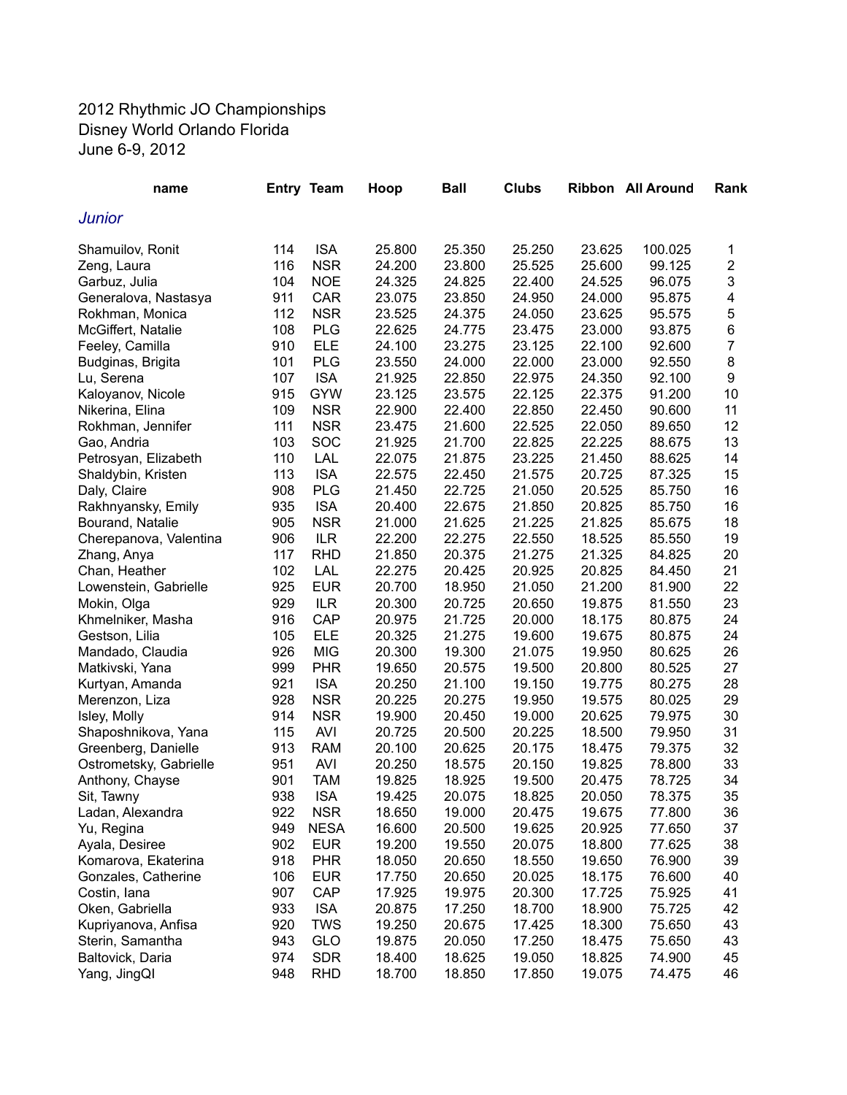## 2012 Rhythmic JO Championships Disney World Orlando Florida June 6-9, 2012

| name                   |     | <b>Entry Team</b> | Hoop   | <b>Ball</b> | <b>Clubs</b> |        | <b>Ribbon</b> All Around | Rank                    |
|------------------------|-----|-------------------|--------|-------------|--------------|--------|--------------------------|-------------------------|
| <b>Junior</b>          |     |                   |        |             |              |        |                          |                         |
| Shamuilov, Ronit       | 114 | <b>ISA</b>        | 25.800 | 25.350      | 25.250       | 23.625 | 100.025                  | 1                       |
| Zeng, Laura            | 116 | <b>NSR</b>        | 24.200 | 23.800      | 25.525       | 25.600 | 99.125                   | $\overline{\mathbf{c}}$ |
| Garbuz, Julia          | 104 | <b>NOE</b>        | 24.325 | 24.825      | 22.400       | 24.525 | 96.075                   | 3                       |
| Generalova, Nastasya   | 911 | <b>CAR</b>        | 23.075 | 23.850      | 24.950       | 24.000 | 95.875                   | 4                       |
| Rokhman, Monica        | 112 | <b>NSR</b>        | 23.525 | 24.375      | 24.050       | 23.625 | 95.575                   | 5                       |
| McGiffert, Natalie     | 108 | <b>PLG</b>        | 22.625 | 24.775      | 23.475       | 23.000 | 93.875                   | 6                       |
| Feeley, Camilla        | 910 | <b>ELE</b>        | 24.100 | 23.275      | 23.125       | 22.100 | 92.600                   | 7                       |
| Budginas, Brigita      | 101 | <b>PLG</b>        | 23.550 | 24.000      | 22.000       | 23.000 | 92.550                   | 8                       |
| Lu, Serena             | 107 | <b>ISA</b>        | 21.925 | 22.850      | 22.975       | 24.350 | 92.100                   | 9                       |
| Kaloyanov, Nicole      | 915 | <b>GYW</b>        | 23.125 | 23.575      | 22.125       | 22.375 | 91.200                   | 10                      |
| Nikerina, Elina        | 109 | <b>NSR</b>        | 22.900 | 22.400      | 22.850       | 22.450 | 90.600                   | 11                      |
| Rokhman, Jennifer      | 111 | <b>NSR</b>        | 23.475 | 21.600      | 22.525       | 22.050 | 89.650                   | 12                      |
| Gao, Andria            | 103 | SOC               | 21.925 | 21.700      | 22.825       | 22.225 | 88.675                   | 13                      |
| Petrosyan, Elizabeth   | 110 | LAL               | 22.075 | 21.875      | 23.225       | 21.450 | 88.625                   | 14                      |
| Shaldybin, Kristen     | 113 | <b>ISA</b>        | 22.575 | 22.450      | 21.575       | 20.725 | 87.325                   | 15                      |
| Daly, Claire           | 908 | <b>PLG</b>        | 21.450 | 22.725      | 21.050       | 20.525 | 85.750                   | 16                      |
| Rakhnyansky, Emily     | 935 | <b>ISA</b>        | 20.400 | 22.675      | 21.850       | 20.825 | 85.750                   | 16                      |
| Bourand, Natalie       | 905 | <b>NSR</b>        | 21.000 | 21.625      | 21.225       | 21.825 | 85.675                   | 18                      |
|                        | 906 | <b>ILR</b>        | 22.200 | 22.275      | 22.550       | 18.525 | 85.550                   | 19                      |
| Cherepanova, Valentina | 117 | <b>RHD</b>        |        | 20.375      | 21.275       | 21.325 | 84.825                   | 20                      |
| Zhang, Anya            |     |                   | 21.850 |             | 20.925       |        |                          | 21                      |
| Chan, Heather          | 102 | LAL               | 22.275 | 20.425      |              | 20.825 | 84.450                   |                         |
| Lowenstein, Gabrielle  | 925 | <b>EUR</b>        | 20.700 | 18.950      | 21.050       | 21.200 | 81.900                   | 22                      |
| Mokin, Olga            | 929 | <b>ILR</b>        | 20.300 | 20.725      | 20.650       | 19.875 | 81.550                   | 23                      |
| Khmelniker, Masha      | 916 | CAP               | 20.975 | 21.725      | 20.000       | 18.175 | 80.875                   | 24                      |
| Gestson, Lilia         | 105 | <b>ELE</b>        | 20.325 | 21.275      | 19.600       | 19.675 | 80.875                   | 24                      |
| Mandado, Claudia       | 926 | <b>MIG</b>        | 20.300 | 19.300      | 21.075       | 19.950 | 80.625                   | 26                      |
| Matkivski, Yana        | 999 | <b>PHR</b>        | 19.650 | 20.575      | 19.500       | 20.800 | 80.525                   | 27                      |
| Kurtyan, Amanda        | 921 | <b>ISA</b>        | 20.250 | 21.100      | 19.150       | 19.775 | 80.275                   | 28                      |
| Merenzon, Liza         | 928 | <b>NSR</b>        | 20.225 | 20.275      | 19.950       | 19.575 | 80.025                   | 29                      |
| Isley, Molly           | 914 | <b>NSR</b>        | 19.900 | 20.450      | 19.000       | 20.625 | 79.975                   | 30                      |
| Shaposhnikova, Yana    | 115 | <b>AVI</b>        | 20.725 | 20.500      | 20.225       | 18.500 | 79.950                   | 31                      |
| Greenberg, Danielle    | 913 | <b>RAM</b>        | 20.100 | 20.625      | 20.175       | 18.475 | 79.375                   | 32                      |
| Ostrometsky, Gabrielle | 951 | <b>AVI</b>        | 20.250 | 18.575      | 20.150       | 19.825 | 78.800                   | 33                      |
| Anthony, Chayse        | 901 | <b>TAM</b>        | 19.825 | 18.925      | 19.500       | 20.475 | 78.725                   | 34                      |
| Sit, Tawny             | 938 | <b>ISA</b>        | 19.425 | 20.075      | 18.825       | 20.050 | 78.375                   | 35                      |
| Ladan, Alexandra       | 922 | <b>NSR</b>        | 18.650 | 19.000      | 20.475       | 19.675 | 77.800                   | 36                      |
| Yu, Regina             | 949 | <b>NESA</b>       | 16.600 | 20.500      | 19.625       | 20.925 | 77.650                   | 37                      |
| Ayala, Desiree         | 902 | <b>EUR</b>        | 19.200 | 19.550      | 20.075       | 18.800 | 77.625                   | 38                      |
| Komarova, Ekaterina    | 918 | <b>PHR</b>        | 18.050 | 20.650      | 18.550       | 19.650 | 76.900                   | 39                      |
| Gonzales, Catherine    | 106 | <b>EUR</b>        | 17.750 | 20.650      | 20.025       | 18.175 | 76.600                   | 40                      |
| Costin, lana           | 907 | CAP               | 17.925 | 19.975      | 20.300       | 17.725 | 75.925                   | 41                      |
| Oken, Gabriella        | 933 | <b>ISA</b>        | 20.875 | 17.250      | 18.700       | 18.900 | 75.725                   | 42                      |
| Kupriyanova, Anfisa    | 920 | <b>TWS</b>        | 19.250 | 20.675      | 17.425       | 18.300 | 75.650                   | 43                      |
| Sterin, Samantha       | 943 | GLO               | 19.875 | 20.050      | 17.250       | 18.475 | 75.650                   | 43                      |
| Baltovick, Daria       | 974 | <b>SDR</b>        | 18.400 | 18.625      | 19.050       | 18.825 | 74.900                   | 45                      |
| Yang, JingQl           | 948 | <b>RHD</b>        | 18.700 | 18.850      | 17.850       | 19.075 | 74.475                   | 46                      |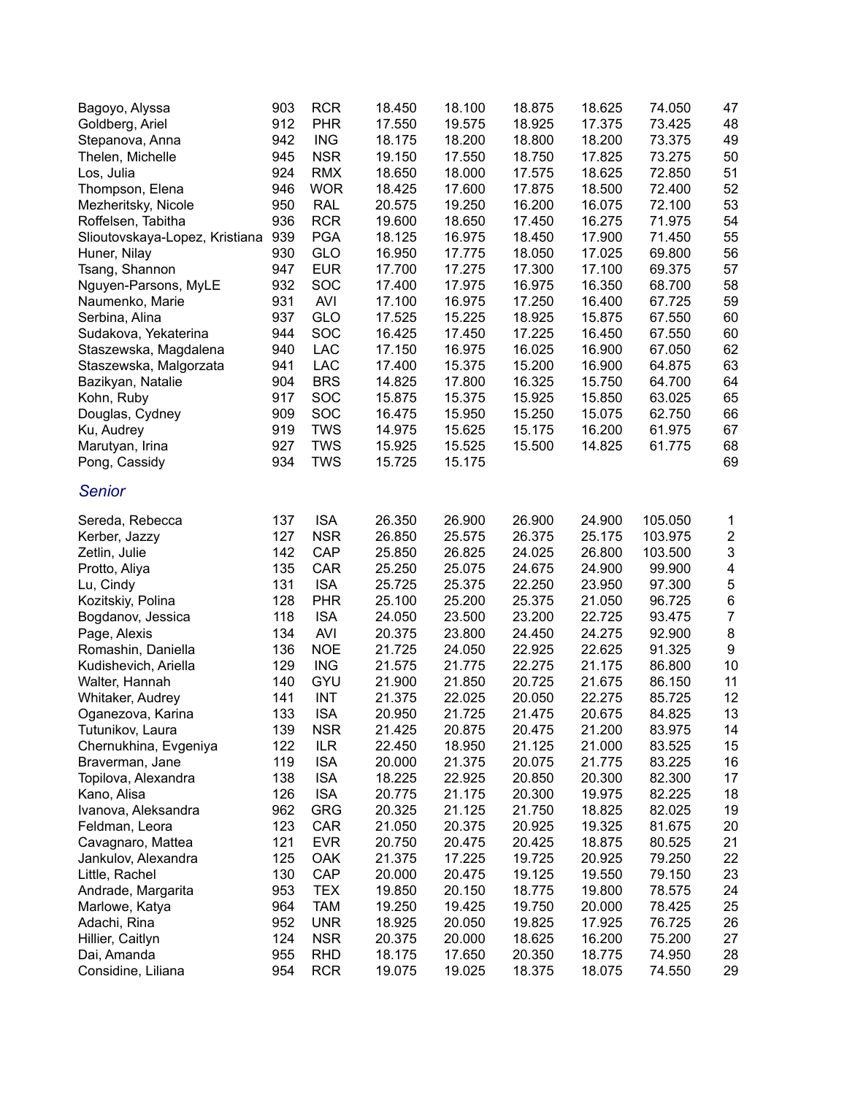| Bagoyo, Alyssa                 | 903 | <b>RCR</b> | 18.450 | 18.100 | 18.875 | 18.625 | 74.050  | 47                        |
|--------------------------------|-----|------------|--------|--------|--------|--------|---------|---------------------------|
| Goldberg, Ariel                | 912 | <b>PHR</b> | 17.550 | 19.575 | 18.925 | 17.375 | 73.425  | 48                        |
| Stepanova, Anna                | 942 | <b>ING</b> | 18.175 | 18.200 | 18.800 | 18.200 | 73.375  | 49                        |
| Thelen, Michelle               | 945 | <b>NSR</b> | 19.150 | 17.550 | 18.750 | 17.825 | 73.275  | 50                        |
| Los, Julia                     | 924 | <b>RMX</b> | 18.650 | 18.000 | 17.575 | 18.625 | 72.850  | 51                        |
| Thompson, Elena                | 946 | <b>WOR</b> | 18.425 | 17.600 | 17.875 | 18.500 | 72.400  | 52                        |
| Mezheritsky, Nicole            | 950 | <b>RAL</b> | 20.575 | 19.250 | 16.200 | 16.075 | 72.100  | 53                        |
| Roffelsen, Tabitha             | 936 | <b>RCR</b> | 19.600 | 18.650 | 17.450 | 16.275 | 71.975  | 54                        |
| Slioutovskaya-Lopez, Kristiana | 939 | <b>PGA</b> | 18.125 | 16.975 | 18.450 | 17.900 | 71.450  | 55                        |
| Huner, Nilay                   | 930 | GLO        | 16.950 | 17.775 | 18.050 | 17.025 | 69.800  | 56                        |
| Tsang, Shannon                 | 947 | <b>EUR</b> | 17.700 | 17.275 | 17.300 | 17.100 | 69.375  | 57                        |
| Nguyen-Parsons, MyLE           | 932 | SOC        | 17.400 | 17.975 | 16.975 | 16.350 | 68.700  | 58                        |
| Naumenko, Marie                | 931 | <b>AVI</b> | 17.100 | 16.975 | 17.250 | 16.400 | 67.725  | 59                        |
| Serbina, Alina                 | 937 | GLO        | 17.525 | 15.225 | 18.925 | 15.875 | 67.550  | 60                        |
| Sudakova, Yekaterina           | 944 | SOC        | 16.425 | 17.450 | 17.225 | 16.450 | 67.550  | 60                        |
| Staszewska, Magdalena          | 940 | <b>LAC</b> | 17.150 | 16.975 | 16.025 | 16.900 | 67.050  | 62                        |
| Staszewska, Malgorzata         | 941 | <b>LAC</b> | 17.400 | 15.375 | 15.200 | 16.900 | 64.875  | 63                        |
| Bazikyan, Natalie              | 904 | <b>BRS</b> | 14.825 | 17.800 | 16.325 | 15.750 | 64.700  | 64                        |
| Kohn, Ruby                     | 917 | SOC        | 15.875 | 15.375 | 15.925 | 15.850 | 63.025  | 65                        |
| Douglas, Cydney                | 909 | SOC        | 16.475 | 15.950 | 15.250 | 15.075 | 62.750  | 66                        |
| Ku, Audrey                     | 919 | <b>TWS</b> | 14.975 | 15.625 | 15.175 | 16.200 | 61.975  | 67                        |
| Marutyan, Irina                | 927 | <b>TWS</b> | 15.925 | 15.525 | 15.500 | 14.825 | 61.775  | 68                        |
| Pong, Cassidy                  | 934 | <b>TWS</b> | 15.725 | 15.175 |        |        |         | 69                        |
| <b>Senior</b>                  |     |            |        |        |        |        |         |                           |
| Sereda, Rebecca                | 137 | <b>ISA</b> | 26.350 | 26.900 | 26.900 | 24.900 | 105.050 | 1                         |
| Kerber, Jazzy                  | 127 | <b>NSR</b> | 26.850 | 25.575 | 26.375 | 25.175 | 103.975 | $\overline{\mathbf{c}}$   |
| Zetlin, Julie                  | 142 | CAP        | 25.850 | 26.825 | 24.025 | 26.800 | 103.500 | $\ensuremath{\mathsf{3}}$ |
| Protto, Aliya                  | 135 | CAR        | 25.250 | 25.075 | 24.675 | 24.900 | 99.900  | $\overline{\mathbf{4}}$   |
| Lu, Cindy                      | 131 | <b>ISA</b> | 25.725 | 25.375 | 22.250 | 23.950 | 97.300  | $\bf 5$                   |
| Kozitskiy, Polina              | 128 | <b>PHR</b> | 25.100 | 25.200 | 25.375 | 21.050 | 96.725  | $\,6$                     |
| Bogdanov, Jessica              | 118 | <b>ISA</b> | 24.050 | 23.500 | 23.200 | 22.725 | 93.475  | $\overline{7}$            |
| Page, Alexis                   | 134 | <b>AVI</b> | 20.375 | 23.800 | 24.450 | 24.275 | 92.900  | $\bf 8$                   |
| Romashin, Daniella             | 136 | <b>NOE</b> | 21.725 | 24.050 | 22.925 | 22.625 | 91.325  | $\boldsymbol{9}$          |
| Kudishevich, Ariella           | 129 | <b>ING</b> | 21.575 | 21.775 | 22.275 | 21.175 | 86.800  | 10                        |
| Walter, Hannah                 | 140 | GYU        | 21.900 | 21.850 | 20.725 | 21.675 | 86.150  | 11                        |
| Whitaker, Audrey               | 141 | <b>INT</b> | 21.375 | 22.025 | 20.050 | 22.275 | 85.725  | 12                        |
| Oganezova, Karina              | 133 | <b>ISA</b> | 20.950 | 21.725 | 21.475 | 20.675 | 84.825  | 13                        |
| Tutunikov, Laura               | 139 | <b>NSR</b> | 21.425 | 20.875 | 20.475 | 21.200 | 83.975  | 14                        |
| Chernukhina, Evgeniya          | 122 | <b>ILR</b> | 22.450 | 18.950 | 21.125 | 21.000 | 83.525  | 15                        |
| Braverman, Jane                | 119 | <b>ISA</b> | 20.000 | 21.375 | 20.075 | 21.775 | 83.225  | 16                        |
| Topilova, Alexandra            | 138 | <b>ISA</b> | 18.225 | 22.925 | 20.850 | 20.300 | 82.300  | 17                        |
| Kano, Alisa                    | 126 | <b>ISA</b> | 20.775 | 21.175 | 20.300 | 19.975 | 82.225  | 18                        |
| Ivanova, Aleksandra            | 962 | <b>GRG</b> | 20.325 | 21.125 | 21.750 | 18.825 | 82.025  | 19                        |
| Feldman, Leora                 | 123 | CAR        | 21.050 | 20.375 | 20.925 | 19.325 | 81.675  | 20                        |
| Cavagnaro, Mattea              | 121 | <b>EVR</b> | 20.750 | 20.475 | 20.425 | 18.875 | 80.525  | 21                        |
| Jankulov, Alexandra            | 125 | <b>OAK</b> | 21.375 | 17.225 | 19.725 | 20.925 | 79.250  | 22                        |
| Little, Rachel                 | 130 | CAP        | 20.000 | 20.475 | 19.125 | 19.550 | 79.150  | 23                        |
| Andrade, Margarita             | 953 | <b>TEX</b> | 19.850 | 20.150 | 18.775 | 19.800 | 78.575  | 24                        |
| Marlowe, Katya                 | 964 | <b>TAM</b> | 19.250 | 19.425 | 19.750 | 20.000 | 78.425  | 25                        |
| Adachi, Rina                   | 952 | <b>UNR</b> | 18.925 | 20.050 | 19.825 | 17.925 | 76.725  | 26                        |
| Hillier, Caitlyn               | 124 | <b>NSR</b> | 20.375 | 20.000 | 18.625 | 16.200 | 75.200  | 27                        |
| Dai, Amanda                    | 955 | <b>RHD</b> | 18.175 | 17.650 | 20.350 | 18.775 | 74.950  | 28                        |
| Considine, Liliana             | 954 | <b>RCR</b> | 19.075 | 19.025 | 18.375 | 18.075 | 74.550  | 29                        |